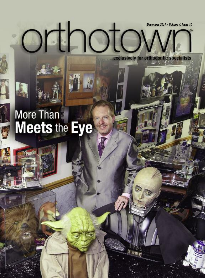$O$ 

exclusively for orthodontic specialists

# More Than<br>Meets the Eye

**Pont**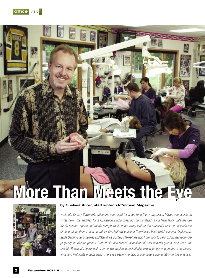



# **by Chelsea Knorr, staff writer,** *Orthotown Magazine*

Walk into Dr. Jay Bowman's office and you might think you're in the wrong place. Maybe you accidently *wrote down the address for a Hollywood studio dressing room instead? Or a Hard Rock Café maybe? Movie posters, sports and music paraphernalia adorn every inch of the practice's walls; an eclectic mix of decorations theme each operatory. One hallway boasts a Chewbacca bust, which sits in a display case aside Darth Vader's helmet and* Star Wars *posters blanket the wall from floor to ceiling. Another room displays signed electric guitars, framed LPs and concert snapshots of rock-and-roll greats. Walk down the hall into Bowman's sports hall-of-fame, where signed basketballs, folded jerseys and photos of sports leg*ends and highlights proudly hang. There is certainly no lack of pop culture appreciation in this practice.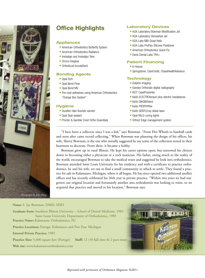

# **Office Highlights**

## **Appliances**

- American Orthodontics Butterfly System
- **American Orthodontics Radiance**
- **Invisalign and Invisalign Teen**
- $\blacksquare$  Ormco Insignia
- OrthoAccel AcceleDent

# **Bonding Agents**

- Opal Etch
- Opal Bond Flow
- Opal Bond MV
- Pre-coat adhesives using American Orthodontics "Orange Box System"

### **Hygiene**

- **Duraflor Halo fluoride varnish**
- Opal Seal sealant
- **Procter & Gamble Crest Ortho Essentials**

# **Laboratory Devices**

- **AOA Laboratory Bowman Modification Jet**
- **AOA Laboratory Horseshoe Jet**
- **AOA Labs MIA Quad Helix**
- **AOA Labs ProFlex Silicone Positioner**
- **American Orthodontics Quick Fix**
- $\blacksquare$  Davis Dental Labs TPA+

#### **Patient Financing**

- $\blacksquare$  In-House
- Springstone, CareCredit, ChaseHealthAdvance

### **Technology**

- Dolphin Imaging
- $\blacksquare$  Gendex Orthoralix digital radiography
- IACT CasePresenter
- <sup>n</sup> KaVo ELECTROtorque-plus electric handpieces
- KaVo DIAGNOdent
- $\blacksquare$  KaVo PROPHYflex
- KaVo GENTLEray diode laser
- Opal VALO curing lights
- Ortho2 Edge management system

"I have been a collector, since I was a kid," says Bowman. "From Hot Wheels to baseball cards and soon after came record collecting." When Bowman was planning the design of his offices, his wife, Sherry Bowman, is the one who initially suggested he use some of the collection stored in their basement to decorate. From there, it became a hobby.

Bowman grew up in rural Illinois. He kept his career options open, but narrowed his choices down to becoming either a physician or a rock musician. His father, owing much to the reality of the world, encouraged Bowman to take the medical route and suggested he look into orthodontics. Bowman attended Saint Louis University for his residency and with a certificate to practice orthodontics, he and his wife, set out to find a small community in which to settle. They found a practice for sale in Kalamazoo, Michigan, where it all began. He has since opened two additional satellite offices and has recently celebrated his 26th year in private practice. "Within two years we had outgrown our original location and fortunately another area orthodontist was looking to retire, so we acquired that practice and moved to his location," Bowman says.

## **Name:** S. Jay Bowman, DMD, MSD

**Graduate from:** Southern Illinois University – School of Dental Medicine, 1983 Saint Louis University Department of Orthodontics, 1985 **Practice Name:** Kalamazoo Orthodontics, PC **Practice Locations:** Portage, Kalamazoo and Paw Paw, Michigan **Entered Private Practice:** 1985 **Practice Size:** 5,400 square feet (Portage) **Staff:** 12 (10 full time & 2 part-time) **Web site:** www.kalamazooorthodontics.com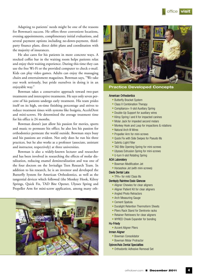

Adapting to patients' needs might be one of the reasons for Bowman's success. He offers three convenient locations, evening appointments, complimentary initial evaluations, and several payment options including no-down-payment, thirdparty finance plans, direct debit plans and coordination with the majority of insurances.

He also cares for his patients in more concrete ways. A stocked coffee bar in the waiting room helps patients relax and enjoy their waiting experience. During this time they can use the free Wi-Fi or the provided computer to check e-mail. Kids can play video games. Adults can enjoy the massaging chairs and entertainment magazines. Bowman says, "We take our work seriously, but pride ourselves in doing it in an enjoyable way."

Bowman takes a conservative approach toward two-part treatments and interceptive treatments. He says only seven percent of his patients undergo early treatment. His team prides itself on its high, on-time finishing percentage and strives to reduce treatment times with systems like Insignia, AcceleDent and mini-screws. He determined the average treatment time for his office is 24 months.

Bowman doesn't just allow his passion for movies, sports and music to permeate his office; he also lets his passion for orthodontics permeate the world outside. Bowman stays busy and his passions are evident. Not only does he run his three practices, but he also works as a professor (associate, assistant and instructor, respectively) at three universities.

Bowman is also a widely-known lecturer and researcher and has been involved in researching the effects of molar distalization, reducing enamel demineralization and was one of the four doctors on the Invisalign Teen Research Team. In addition to his research, he is an inventor and developed the Butterfly System for American Orthodontics, as well as the tangential devices which followed (the Monkey Hook, Kilroy Springs, Quick Fix, TAD Bite Opener, Ulysses Spring and Propeller Arm for mini-screw application, among many oth-





**Practice Developed Concepts**

#### American Orthodontics

- **E** Butterfly Bracket System
- Class II Combination Therapy
- Compliance+ V-slot Auxiliary Spring
- **Double-Up Support for auxiliary wires**
- Kilroy Spring I and II for impacted canines
- Molar Jack for impeded second molars
- Monkey Hook and Loop for impactions & rotations
- Natural Arch III Wires
- **Propeller Arm for mini-screws**
- Quick Fix with Side Swipes for Pseudo IIIs
- SafeVu Light Filter
- TAD Bite Opening Spring for mini-screws
- **Ulysses Extrusion Spring for mini-screws**
- **U-turn V-slot Rotating Spring**

#### AOA Laboratory

- **E** Bowman Modification Jet
- Horseshoe Jet (with mini-screws)

#### Davis Dental Labs

 $\blacksquare$  TPA+ for mild Class IIIs

#### Dentsply Raintree Essix Glencoe

- **Aligner Chewies for clear aligners**
- **Aligner Patient Kit for clear aligners**
- Angled Photo Retractors
- **Arch Measuring Gauge**
- $\blacksquare$  Cement Spatula
- **Duralight Retention Thermoform Sheets**
- **Pliers Rack Stand for Dentronix racks**
- **Retainer Retrievers for clear aligners**
- **NYRED Cheek Expander for bonding**

#### Hu-Friedy

**- Accent Aligner Pliers** 

#### Inman Aligner

- **E** Bowman Consolidator
- **E** Bowman Molar Protractor

#### Sybron/Axis Dental Specialties

■ Orthodontic Adhesive Removal Set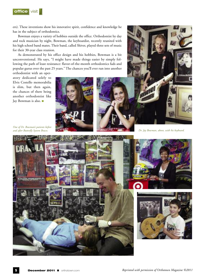**office** visit

ers). These inventions show his innovative spirit, confidence and knowledge he has in the subject of orthodontics.

Bowman enjoys a variety of hobbies outside the office. Orthodontist by day and rock musician by night, Bowman, the keyboardist, recently reunited with his high school band mates. Their band, called Shiver, played three sets of music for their 30-year class reunion.

As demonstrated by his office design and his hobbies, Bowman is a bit unconventional. He says, "I might have made things easier by simply following the path of least resistance: flavor-of-the-month orthodontics fads and popular gurus over the past 25 years." The chances you'll ever run into another

orthodontist with an operatory dedicated solely to Elvis Costello memorabilia is slim, but then again, the chances of there being another orthodontist like Jay Bowman is also.



*One of Dr. Bowman's patients before and after Butterfly System Braces.*



*Dr. Jay Bowman, above, with his keyboard.*